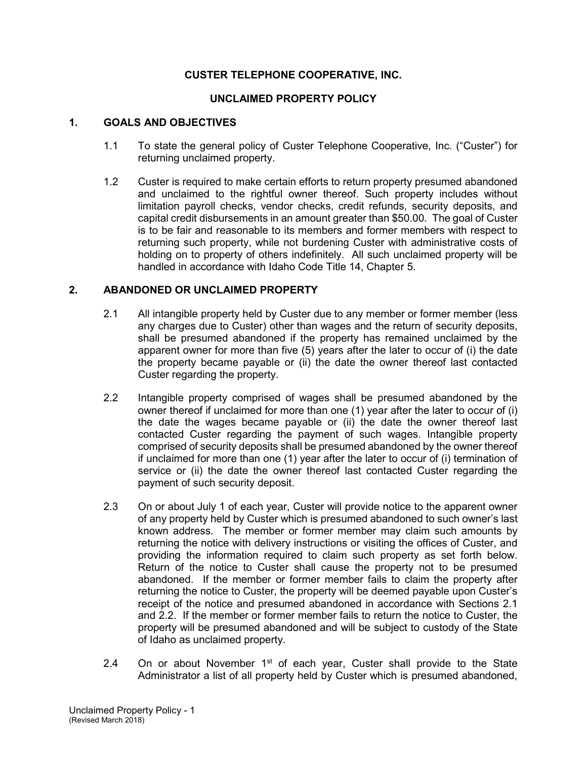## **CUSTER TELEPHONE COOPERATIVE, INC.**

### **UNCLAIMED PROPERTY POLICY**

#### **1. GOALS AND OBJECTIVES**

- 1.1 To state the general policy of Custer Telephone Cooperative, Inc. ("Custer") for returning unclaimed property.
- 1.2 Custer is required to make certain efforts to return property presumed abandoned and unclaimed to the rightful owner thereof. Such property includes without limitation payroll checks, vendor checks, credit refunds, security deposits, and capital credit disbursements in an amount greater than \$50.00. The goal of Custer is to be fair and reasonable to its members and former members with respect to returning such property, while not burdening Custer with administrative costs of holding on to property of others indefinitely. All such unclaimed property will be handled in accordance with Idaho Code Title 14, Chapter 5.

#### **2. ABANDONED OR UNCLAIMED PROPERTY**

- 2.1 All intangible property held by Custer due to any member or former member (less any charges due to Custer) other than wages and the return of security deposits, shall be presumed abandoned if the property has remained unclaimed by the apparent owner for more than five (5) years after the later to occur of (i) the date the property became payable or (ii) the date the owner thereof last contacted Custer regarding the property.
- 2.2 Intangible property comprised of wages shall be presumed abandoned by the owner thereof if unclaimed for more than one (1) year after the later to occur of (i) the date the wages became payable or (ii) the date the owner thereof last contacted Custer regarding the payment of such wages. Intangible property comprised of security deposits shall be presumed abandoned by the owner thereof if unclaimed for more than one (1) year after the later to occur of (i) termination of service or (ii) the date the owner thereof last contacted Custer regarding the payment of such security deposit.
- 2.3 On or about July 1 of each year, Custer will provide notice to the apparent owner of any property held by Custer which is presumed abandoned to such owner's last known address. The member or former member may claim such amounts by returning the notice with delivery instructions or visiting the offices of Custer, and providing the information required to claim such property as set forth below. Return of the notice to Custer shall cause the property not to be presumed abandoned. If the member or former member fails to claim the property after returning the notice to Custer, the property will be deemed payable upon Custer's receipt of the notice and presumed abandoned in accordance with Sections 2.1 and 2.2. If the member or former member fails to return the notice to Custer, the property will be presumed abandoned and will be subject to custody of the State of Idaho as unclaimed property.
- 2.4 On or about November  $1<sup>st</sup>$  of each year, Custer shall provide to the State Administrator a list of all property held by Custer which is presumed abandoned,